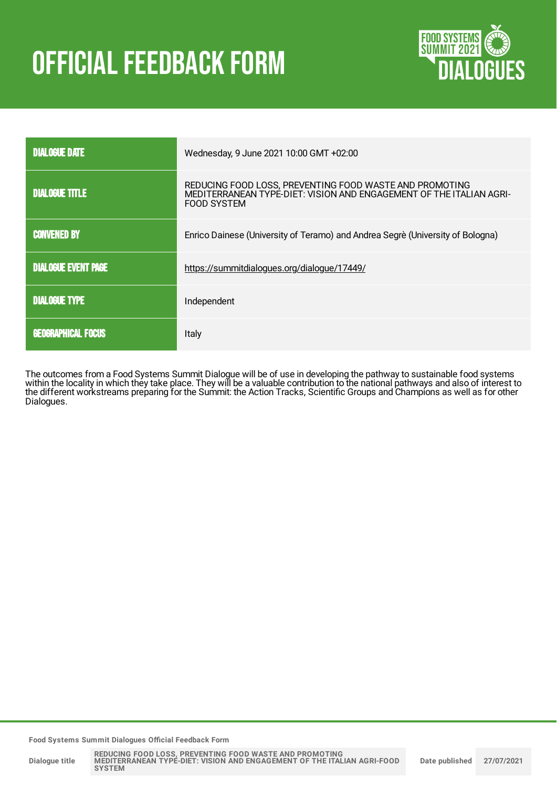# **OFFICIAL FEEDBACK FORM**



| <b>DIALOGUE DATE</b>       | Wednesday, 9 June 2021 10:00 GMT +02:00                                                                                                       |  |
|----------------------------|-----------------------------------------------------------------------------------------------------------------------------------------------|--|
| <b>DIALOGUE TITLE</b>      | REDUCING FOOD LOSS, PREVENTING FOOD WASTE AND PROMOTING<br>MEDITERRANEAN TYPE-DIET: VISION AND ENGAGEMENT OF THE ITALIAN AGRI-<br>FOOD SYSTEM |  |
| <b>CONVENED BY</b>         | Enrico Dainese (University of Teramo) and Andrea Segrè (University of Bologna)                                                                |  |
| <b>DIALOGUE EVENT PAGE</b> | https://summitdialogues.org/dialogue/17449/                                                                                                   |  |
| <b>DIALOGUE TYPE</b>       | Independent                                                                                                                                   |  |
| <b>GEOGRAPHICAL FOCUS</b>  | Italy                                                                                                                                         |  |

The outcomes from a Food Systems Summit Dialogue will be of use in developing the pathway to sustainable food systems within the locality in which they take place. They will be a valuable contribution to the national pathways and also of interest to the different workstreams preparing for the Summit: the Action Tracks, Scientific Groups and Champions as well as for other Dialogues.

**Food Systems Summit Dialogues Official Feedback Form**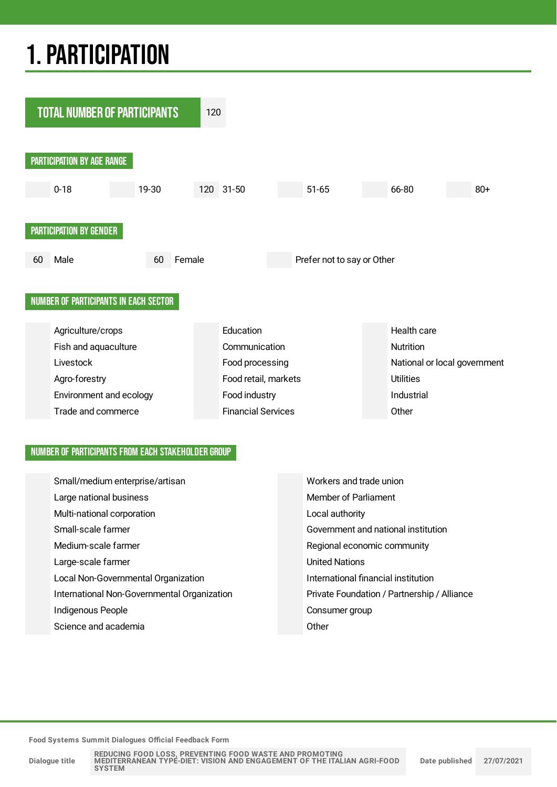## 1.PARTICIPATION



#### NUMBER OF PARTICIPANTS FROM EACH STAKEHOLDER GROUP

| Small/medium enterprise/artisan             | Workers and trade union                     |
|---------------------------------------------|---------------------------------------------|
| Large national business                     | Member of Parliament                        |
| Multi-national corporation                  | Local authority                             |
| Small-scale farmer                          | Government and national institution         |
| Medium-scale farmer                         | Regional economic community                 |
| Large-scale farmer                          | <b>United Nations</b>                       |
| Local Non-Governmental Organization         | International financial institution         |
| International Non-Governmental Organization | Private Foundation / Partnership / Alliance |
| Indigenous People                           | Consumer group                              |
| Science and academia                        | Other                                       |

**Food Systems Summit Dialogues Official Feedback Form**

**Dialogue title**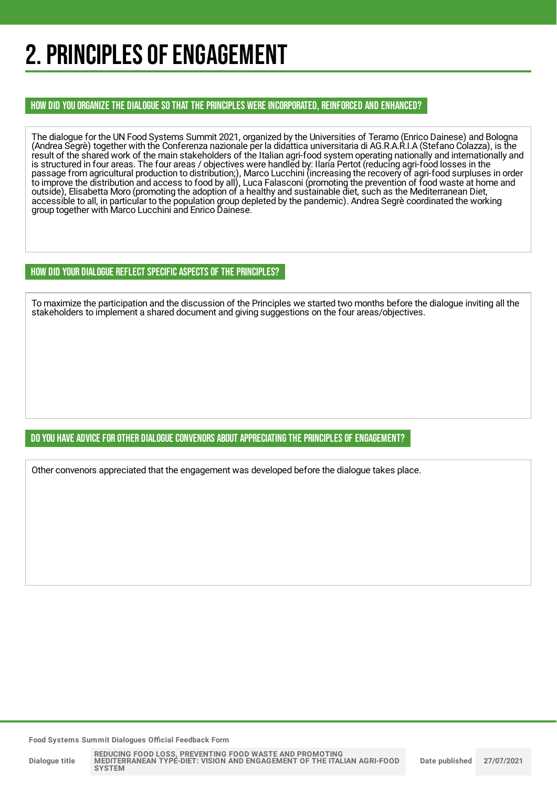## 2. PRINCIPLES OF ENGAGEMENT

HOW DID YOU ORGANIZE THE DIALOGUE SO THAT THE PRINCIPLES WERE INCORPORATED, REINFORCED AND ENHANCED?

The dialogue for the UN Food Systems Summit 2021, organized by the Universities of Teramo (Enrico Dainese) and Bologna (Andrea Segrè) together with the Conferenza nazionale per la didattica universitaria di AG.R.A.R.I.A (Stefano Colazza), is the result of the shared work of the main stakeholders of the Italian agri-food system operating nationally and internationally and is structured in four areas. The four areas / objectives were handled by: Ilaria Pertot (reducing agri-food losses in the passage from agricultural production to distribution;), Marco Lucchini (increasing the recovery of agri-food surpluses in order to improve the distribution and access to food by all), Luca Falasconi (promoting the prevention of food waste at home and outside), Elisabetta Moro (promoting the adoption of a healthy and sustainable diet, such as the Mediterranean Diet, accessible to all, in particular to the population group depleted by the pandemic). Andrea Segrè coordinated the working group together with Marco Lucchini and Enrico Dainese.

HOW DID YOUR DIALOGUE REFLECT SPECIFIC ASPECTS OF THE PRINCIPLES?

To maximize the participation and the discussion of the Principles we started two months before the dialogue inviting all the stakeholders to implement a shared document and giving suggestions on the four areas/objectives.

#### DO YOU HAVE ADVICE FOR OTHER DIALOGUE CONVENORS ABOUT APPRECIATINGTHE PRINCIPLES OF ENGAGEMENT?

Other convenors appreciated that the engagement was developed before the dialogue takes place.

**Food Systems Summit Dialogues Official Feedback Form**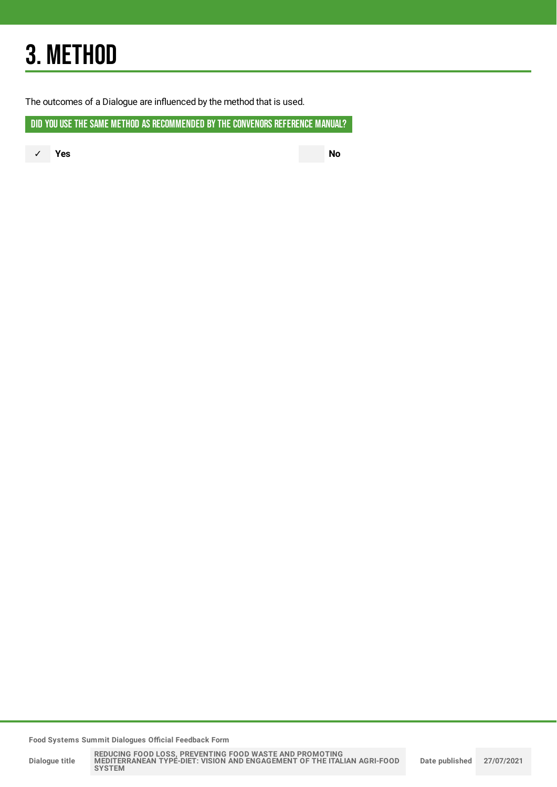## 3. METHOD

The outcomes of a Dialogue are influenced by the method that is used.

DID YOU USE THE SAME METHOD AS RECOMMENDED BYTHE CONVENORS REFERENCE MANUAL?

✓ **Yes No**

**Food Systems Summit Dialogues Official Feedback Form**

**Dialogue title**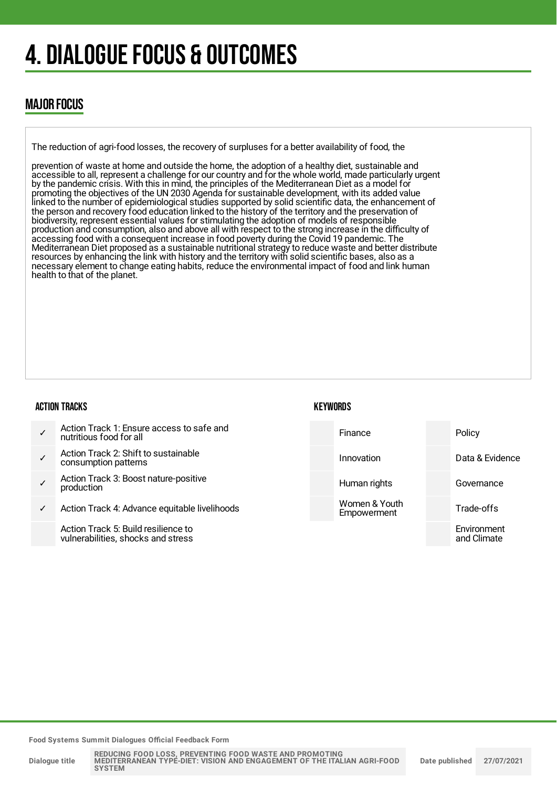## 4. DIALOGUE FOCUS & OUTCOMES

### MAJOR FOCUS

The reduction of agri-food losses, the recovery of surpluses for a better availability of food, the

prevention of waste at home and outside the home, the adoption of a healthy diet, sustainable and accessible to all, represent a challenge for our country and for the whole world, made particularly urgent by the pandemic crisis. With this in mind, the principles of the Mediterranean Diet as a model for promoting the objectives of the UN 2030 Agenda for sustainable development, with its added value linked to the number of epidemiological studies supported by solid scientific data, the enhancement of the person and recovery food education linked to the history of the territory and the preservation of biodiversity, represent essential values for stimulating the adoption of models of responsible production and consumption, also and above all with respect to the strong increase in the difficulty of accessing food with a consequent increase in food poverty during the Covid 19 pandemic. The Mediterranean Diet proposed as a sustainable nutritional strategy to reduce waste and better distribute resources by enhancing the link with history and the territory with solid scientific bases, also as a necessary element to change eating habits, reduce the environmental impact of food and link human health to that of the planet.

#### ACTION TRACKS

#### **KEYWORDS**



**Food Systems Summit Dialogues Official Feedback Form**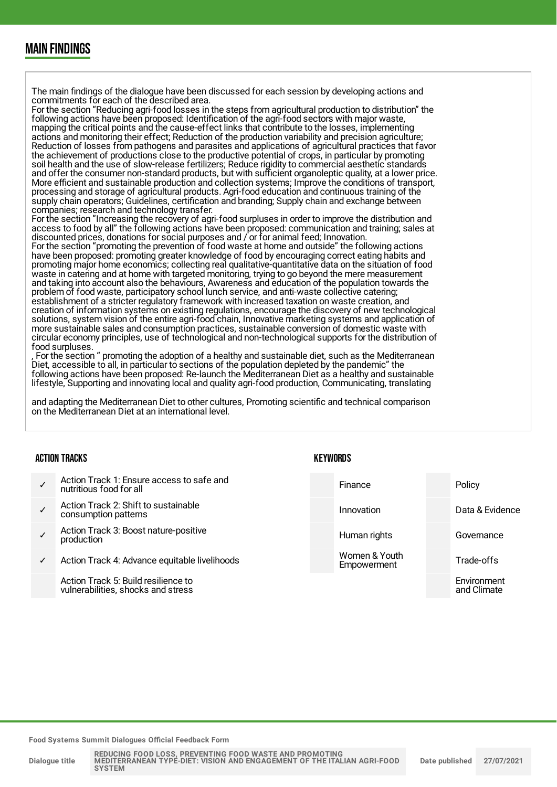### MAIN FINDINGS

The main findings of the dialogue have been discussed for each session by developing actions and commitments for each of the described area. For the section "Reducing agri-food losses in the steps from agricultural production to distribution" the following actions have been proposed: Identification of the agri-food sectors with major waste, mapping the critical points and the cause-effect links that contribute to the losses, implementing actions and monitoring their effect; Reduction of the production variability and precision agriculture; Reduction of losses from pathogens and parasites and applications of agricultural practices that favor the achievement of productions close to the productive potential of crops, in particular by promoting soil health and the use of slow-release fertilizers; Reduce rigidity to commercial aesthetic standards and offer the consumer non-standard products, but with sufficient organoleptic quality, at a lower price. More efficient and sustainable production and collection systems; Improve the conditions of transport, processing and storage of agricultural products. Agri-food education and continuous training of the supply chain operators; Guidelines, certification and branding; Supply chain and exchange between companies; research and technology transfer. For the section "Increasing the recovery of agri-food surpluses in order to improve the distribution and access to food by all" the following actions have been proposed: communication and training; sales at discounted prices, donations for social purposes and / or for animal feed; Innovation. For the section "promoting the prevention of food waste at home and outside" the following actions have been proposed: promoting greater knowledge of food by encouraging correct eating habits and promoting major home economics; collecting real qualitative-quantitative data on the situation of food waste in catering and at home with targeted monitoring, trying to go beyond the mere measurement and taking into account also the behaviours, Awareness and education of the population towards the problem of food waste, participatory school lunch service, and anti-waste collective catering; establishment of a stricter regulatory framework with increased taxation on waste creation, and creation of information systems on existing regulations, encourage the discovery of new technological solutions, system vision of the entire agri-food chain, Innovative marketing systems and application of more sustainable sales and consumption practices, sustainable conversion of domestic waste with circular economy principles, use of technological and non-technological supports for the distribution of food surpluses. For the section " promoting the adoption of a healthy and sustainable diet, such as the Mediterranean

Diet, accessible to all, in particular to sections of the population depleted by the pandemic" the following actions have been proposed: Re-launch the Mediterranean Diet as a healthy and sustainable lifestyle, Supporting and innovating local and quality agri-food production, Communicating, translating

and adapting the Mediterranean Diet to other cultures, Promoting scientific and technical comparison on the Mediterranean Diet at an international level.

#### ACTION TRACKS

|   | Action Track 1: Ensure access to safe and<br>nutritious food for all      | Finance                      | Policy                     |
|---|---------------------------------------------------------------------------|------------------------------|----------------------------|
|   | Action Track 2: Shift to sustainable<br>consumption patterns              | Innovation                   | Data & Evidence            |
|   | Action Track 3: Boost nature-positive<br>production                       | Human rights                 | Governance                 |
| ✓ | Action Track 4: Advance equitable livelihoods                             | Women & Youth<br>Empowerment | Trade-offs                 |
|   | Action Track 5: Build resilience to<br>vulnerabilities, shocks and stress |                              | Environment<br>and Climate |

**KEYWORDS** 

**Food Systems Summit Dialogues Official Feedback Form**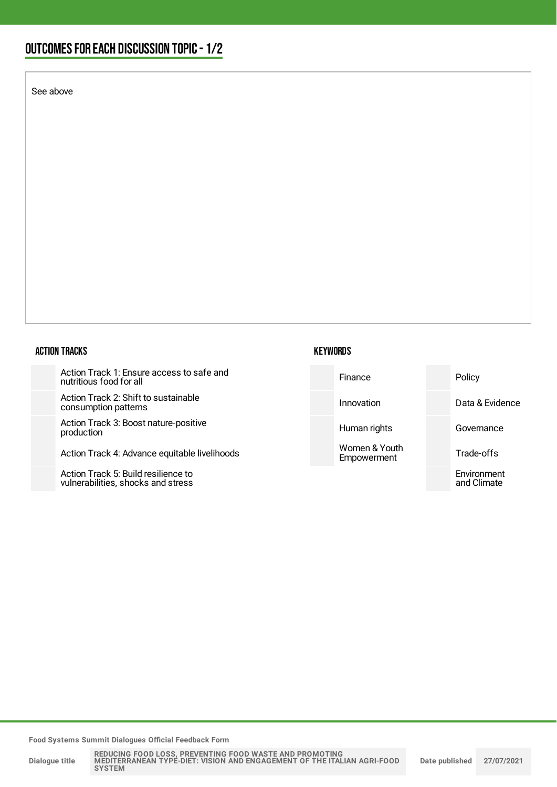### OUTCOMESFOR EACH DISCUSSION TOPIC- 1/2

See above

#### ACTION TRACKS

Action Track 1: Ensure access to safe and nutritious food for all

Action Track 2: Shift to sustainable consumption patterns

Action Track 3: Boost nature-positive production

Action Track 4: Advance equitable livelihoods

Action Track 5: Build resilience to vulnerabilities, shocks and stress



**Food Systems Summit Dialogues Official Feedback Form**

**Dialogue title**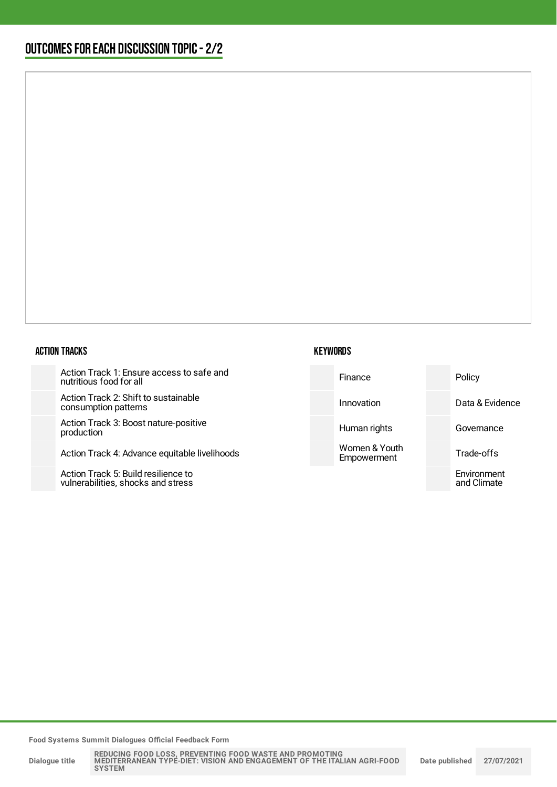#### ACTION TRACKS

Action Track 1: Ensure access to safe nutritious food for all

Action Track 2: Shift to sustainable consumption patterns

Action Track 3: Boost nature-positive production

Action Track 4: Advance equitable liveli

Action Track 5: Build resilience to vulnerabilities, shocks and stress

|        | <b>KEYWORDS</b>              |                            |
|--------|------------------------------|----------------------------|
| and    | Finance                      | Policy                     |
|        | Innovation                   | Data & Evidence            |
|        | Human rights                 | Governance                 |
| ihoods | Women & Youth<br>Empowerment | Trade-offs                 |
|        |                              | Environment<br>and Climate |

**Food Systems Summit Dialogues Official Feedback Form**

**Dialogue title**